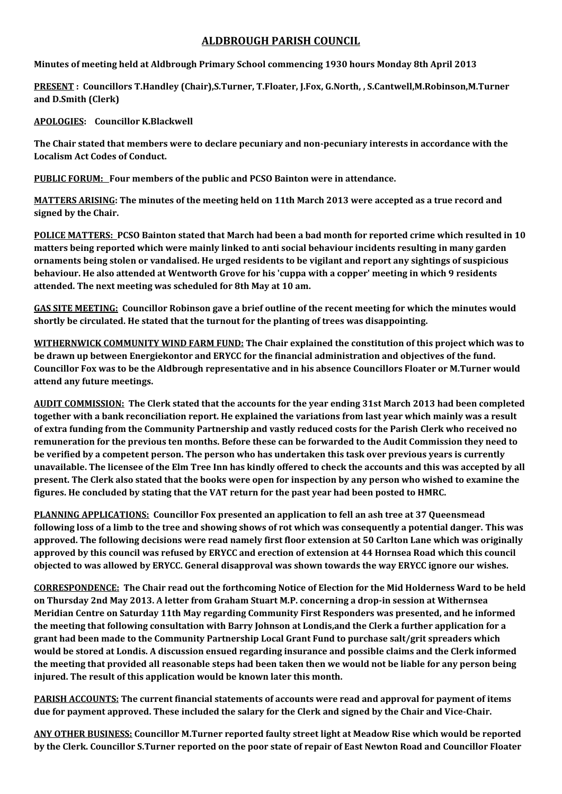## **ALDBROUGH PARISH COUNCIL**

**Minutes of meeting held at Aldbrough Primary School commencing 1930 hours Monday 8th April 2013**

**PRESENT : Councillors T.Handley (Chair),S.Turner, T.Floater, J.Fox, G.North, , S.Cantwell,M.Robinson,M.Turner and D.Smith (Clerk)**

**APOLOGIES: Councillor K.Blackwell**

**The Chair stated that members were to declare pecuniary and non-pecuniary interests in accordance with the Localism Act Codes of Conduct.**

**PUBLIC FORUM: Four members of the public and PCSO Bainton were in attendance.**

**MATTERS ARISING: The minutes of the meeting held on 11th March 2013 were accepted as a true record and signed by the Chair.**

**POLICE MATTERS: PCSO Bainton stated that March had been a bad month for reported crime which resulted in 10 matters being reported which were mainly linked to anti social behaviour incidents resulting in many garden ornaments being stolen or vandalised. He urged residents to be vigilant and report any sightings of suspicious behaviour. He also attended at Wentworth Grove for his 'cuppa with a copper' meeting in which 9 residents attended. The next meeting was scheduled for 8th May at 10 am.**

**GAS SITE MEETING: Councillor Robinson gave a brief outline of the recent meeting for which the minutes would shortly be circulated. He stated that the turnout for the planting of trees was disappointing.**

**WITHERNWICK COMMUNITY WIND FARM FUND: The Chair explained the constitution of this project which was to be drawn up between Energiekontor and ERYCC for the financial administration and objectives of the fund. Councillor Fox was to be the Aldbrough representative and in his absence Councillors Floater or M.Turner would attend any future meetings.**

**AUDIT COMMISSION: The Clerk stated that the accounts for the year ending 31st March 2013 had been completed together with a bank reconciliation report. He explained the variations from last year which mainly was a result of extra funding from the Community Partnership and vastly reduced costs for the Parish Clerk who received no remuneration for the previous ten months. Before these can be forwarded to the Audit Commission they need to be verified by a competent person. The person who has undertaken this task over previous years is currently unavailable. The licensee of the Elm Tree Inn has kindly offered to check the accounts and this was accepted by all present. The Clerk also stated that the books were open for inspection by any person who wished to examine the figures. He concluded by stating that the VAT return for the past year had been posted to HMRC.**

**PLANNING APPLICATIONS: Councillor Fox presented an application to fell an ash tree at 37 Queensmead following loss of a limb to the tree and showing shows of rot which was consequently a potential danger. This was approved. The following decisions were read namely first floor extension at 50 Carlton Lane which was originally approved by this council was refused by ERYCC and erection of extension at 44 Hornsea Road which this council objected to was allowed by ERYCC. General disapproval was shown towards the way ERYCC ignore our wishes.**

**CORRESPONDENCE: The Chair read out the forthcoming Notice of Election for the Mid Holderness Ward to be held on Thursday 2nd May 2013. A letter from Graham Stuart M.P. concerning a drop-in session at Withernsea Meridian Centre on Saturday 11th May regarding Community First Responders was presented, and he informed the meeting that following consultation with Barry Johnson at Londis,and the Clerk a further application for a grant had been made to the Community Partnership Local Grant Fund to purchase salt/grit spreaders which would be stored at Londis. A discussion ensued regarding insurance and possible claims and the Clerk informed the meeting that provided all reasonable steps had been taken then we would not be liable for any person being injured. The result of this application would be known later this month.**

**PARISH ACCOUNTS: The current financial statements of accounts were read and approval for payment of items due for payment approved. These included the salary for the Clerk and signed by the Chair and Vice-Chair.**

**ANY OTHER BUSINESS: Councillor M.Turner reported faulty street light at Meadow Rise which would be reported by the Clerk. Councillor S.Turner reported on the poor state of repair of East Newton Road and Councillor Floater**